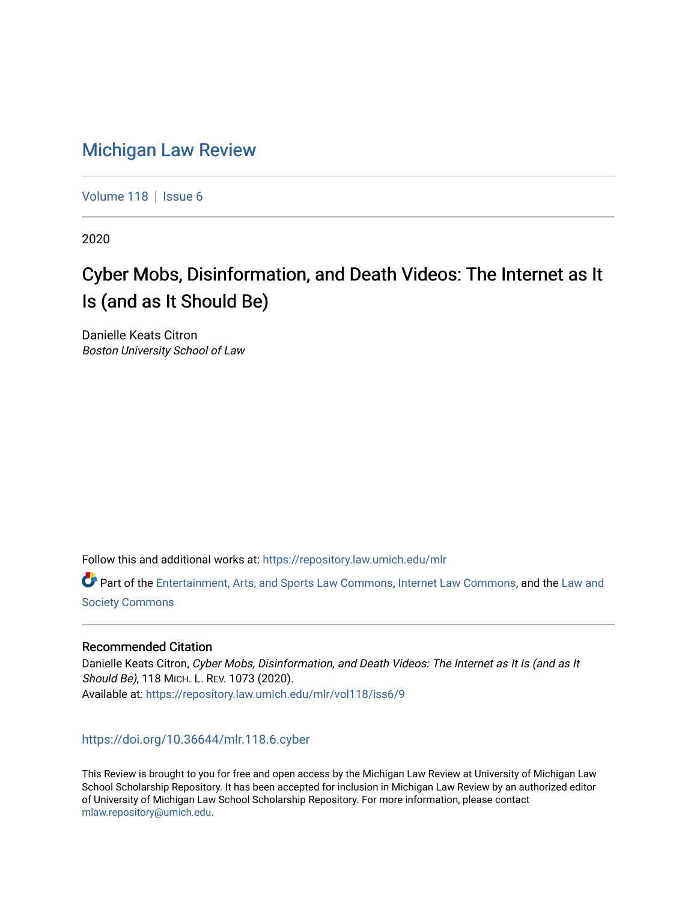# [Michigan Law Review](https://repository.law.umich.edu/mlr)

[Volume 118](https://repository.law.umich.edu/mlr/vol118) | [Issue 6](https://repository.law.umich.edu/mlr/vol118/iss6)

2020

# Cyber Mobs, Disinformation, and Death Videos: The Internet as It Is (and as It Should Be)

Danielle Keats Citron Boston University School of Law

Follow this and additional works at: [https://repository.law.umich.edu/mlr](https://repository.law.umich.edu/mlr?utm_source=repository.law.umich.edu%2Fmlr%2Fvol118%2Fiss6%2F9&utm_medium=PDF&utm_campaign=PDFCoverPages) 

Part of the [Entertainment, Arts, and Sports Law Commons](http://network.bepress.com/hgg/discipline/893?utm_source=repository.law.umich.edu%2Fmlr%2Fvol118%2Fiss6%2F9&utm_medium=PDF&utm_campaign=PDFCoverPages), [Internet Law Commons](http://network.bepress.com/hgg/discipline/892?utm_source=repository.law.umich.edu%2Fmlr%2Fvol118%2Fiss6%2F9&utm_medium=PDF&utm_campaign=PDFCoverPages), and the Law and [Society Commons](http://network.bepress.com/hgg/discipline/853?utm_source=repository.law.umich.edu%2Fmlr%2Fvol118%2Fiss6%2F9&utm_medium=PDF&utm_campaign=PDFCoverPages)

# Recommended Citation

Danielle Keats Citron, Cyber Mobs, Disinformation, and Death Videos: The Internet as It Is (and as It Should Be), 118 MICH. L. REV. 1073 (2020). Available at: [https://repository.law.umich.edu/mlr/vol118/iss6/9](https://repository.law.umich.edu/mlr/vol118/iss6/9?utm_source=repository.law.umich.edu%2Fmlr%2Fvol118%2Fiss6%2F9&utm_medium=PDF&utm_campaign=PDFCoverPages) 

<https://doi.org/10.36644/mlr.118.6.cyber>

This Review is brought to you for free and open access by the Michigan Law Review at University of Michigan Law School Scholarship Repository. It has been accepted for inclusion in Michigan Law Review by an authorized editor of University of Michigan Law School Scholarship Repository. For more information, please contact [mlaw.repository@umich.edu.](mailto:mlaw.repository@umich.edu)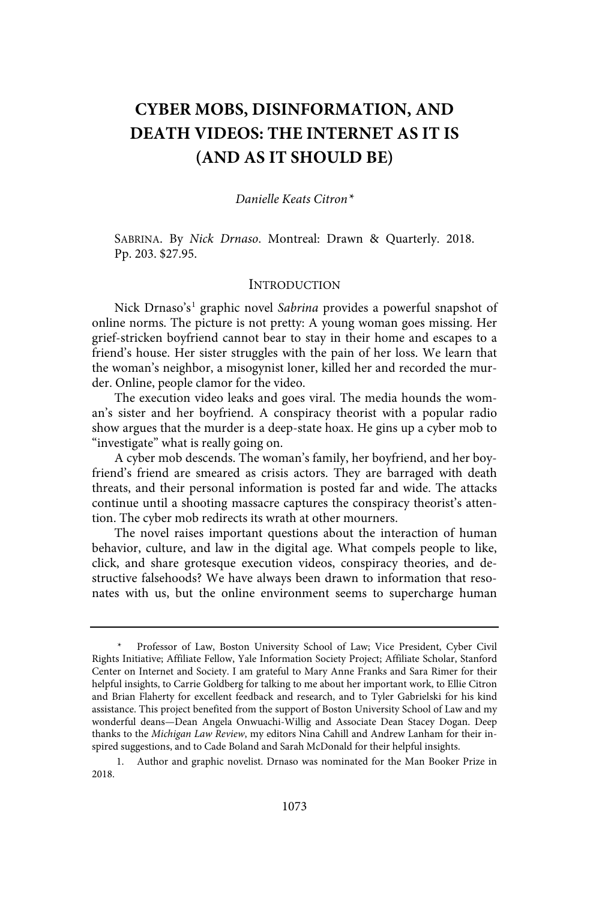# **CYBER MOBS, DISINFORMATION, AND DEATH VIDEOS: THE INTERNET AS IT IS (AND AS IT SHOULD BE)**

### Danielle Keats Citron\*

SABRINA. By Nick Drnaso. Montreal: Drawn & Quarterly. 2018. Pp. 203. \$27.95.

# **INTRODUCTION**

Nick Drnaso's<sup>1</sup> graphic novel Sabrina provides a powerful snapshot of online norms. The picture is not pretty: A young woman goes missing. Her grief-stricken boyfriend cannot bear to stay in their home and escapes to a friend's house. Her sister struggles with the pain of her loss. We learn that the woman's neighbor, a misogynist loner, killed her and recorded the murder. Online, people clamor for the video.

The execution video leaks and goes viral. The media hounds the woman's sister and her boyfriend. A conspiracy theorist with a popular radio show argues that the murder is a deep-state hoax. He gins up a cyber mob to "investigate" what is really going on.

A cyber mob descends. The woman's family, her boyfriend, and her boyfriend's friend are smeared as crisis actors. They are barraged with death threats, and their personal information is posted far and wide. The attacks continue until a shooting massacre captures the conspiracy theorist's attention. The cyber mob redirects its wrath at other mourners.

The novel raises important questions about the interaction of human behavior, culture, and law in the digital age. What compels people to like, click, and share grotesque execution videos, conspiracy theories, and destructive falsehoods? We have always been drawn to information that resonates with us, but the online environment seems to supercharge human

Professor of Law, Boston University School of Law; Vice President, Cyber Civil Rights Initiative; Affiliate Fellow, Yale Information Society Project; Affiliate Scholar, Stanford Center on Internet and Society. I am grateful to Mary Anne Franks and Sara Rimer for their helpful insights, to Carrie Goldberg for talking to me about her important work, to Ellie Citron and Brian Flaherty for excellent feedback and research, and to Tyler Gabrielski for his kind assistance. This project benefited from the support of Boston University School of Law and my wonderful deans—Dean Angela Onwuachi-Willig and Associate Dean Stacey Dogan. Deep thanks to the Michigan Law Review, my editors Nina Cahill and Andrew Lanham for their inspired suggestions, and to Cade Boland and Sarah McDonald for their helpful insights.

<sup>1.</sup> Author and graphic novelist. Drnaso was nominated for the Man Booker Prize in 2018.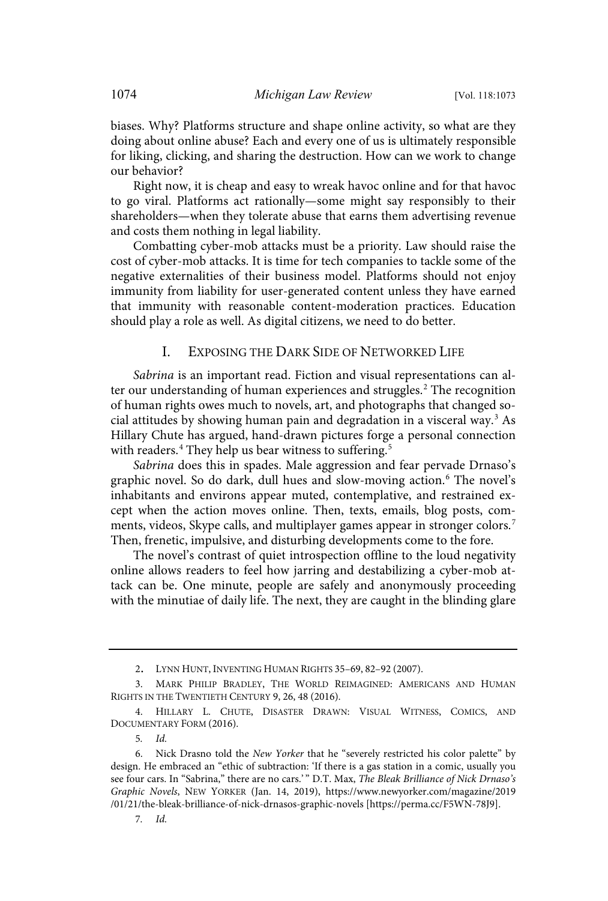biases. Why? Platforms structure and shape online activity, so what are they doing about online abuse? Each and every one of us is ultimately responsible for liking, clicking, and sharing the destruction. How can we work to change our behavior?

Right now, it is cheap and easy to wreak havoc online and for that havoc to go viral. Platforms act rationally—some might say responsibly to their shareholders—when they tolerate abuse that earns them advertising revenue and costs them nothing in legal liability.

Combatting cyber-mob attacks must be a priority. Law should raise the cost of cyber-mob attacks. It is time for tech companies to tackle some of the negative externalities of their business model. Platforms should not enjoy immunity from liability for user-generated content unless they have earned that immunity with reasonable content-moderation practices. Education should play a role as well. As digital citizens, we need to do better.

### I. EXPOSING THE DARK SIDE OF NETWORKED LIFE

Sabrina is an important read. Fiction and visual representations can alter our understanding of human experiences and struggles.<sup>2</sup> The recognition of human rights owes much to novels, art, and photographs that changed social attitudes by showing human pain and degradation in a visceral way. <sup>3</sup> As Hillary Chute has argued, hand-drawn pictures forge a personal connection with readers.<sup>4</sup> They help us bear witness to suffering.<sup>5</sup>

Sabrina does this in spades. Male aggression and fear pervade Drnaso's graphic novel. So do dark, dull hues and slow-moving action. <sup>6</sup> The novel's inhabitants and environs appear muted, contemplative, and restrained except when the action moves online. Then, texts, emails, blog posts, comments, videos, Skype calls, and multiplayer games appear in stronger colors.<sup>7</sup> Then, frenetic, impulsive, and disturbing developments come to the fore.

The novel's contrast of quiet introspection offline to the loud negativity online allows readers to feel how jarring and destabilizing a cyber-mob attack can be. One minute, people are safely and anonymously proceeding with the minutiae of daily life. The next, they are caught in the blinding glare

<sup>2</sup>. LYNN HUNT, INVENTING HUMAN RIGHTS 35–69, 82–92 (2007).

<sup>3.</sup> MARK PHILIP BRADLEY, THE WORLD REIMAGINED: AMERICANS AND HUMAN RIGHTS IN THE TWENTIETH CENTURY 9, 26, 48 (2016).

<sup>4.</sup> HILLARY L. CHUTE, DISASTER DRAWN: VISUAL WITNESS, COMICS, AND DOCUMENTARY FORM (2016).

<sup>5</sup>. Id.

<sup>6.</sup> Nick Drasno told the New Yorker that he "severely restricted his color palette" by design. He embraced an "ethic of subtraction: 'If there is a gas station in a comic, usually you see four cars. In "Sabrina," there are no cars.'" D.T. Max, The Bleak Brilliance of Nick Drnaso's Graphic Novels, NEW YORKER (Jan. 14, 2019), https://www.newyorker.com/magazine/2019 /01/21/the-bleak-brilliance-of-nick-drnasos-graphic-novels [https://perma.cc/F5WN-78J9].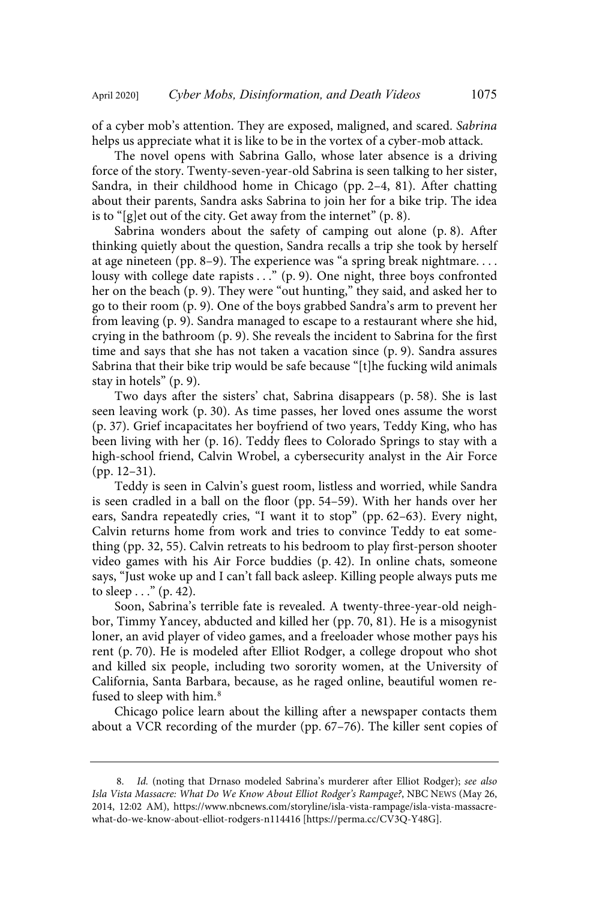of a cyber mob's attention. They are exposed, maligned, and scared. Sabrina helps us appreciate what it is like to be in the vortex of a cyber-mob attack.

The novel opens with Sabrina Gallo, whose later absence is a driving force of the story. Twenty-seven-year-old Sabrina is seen talking to her sister, Sandra, in their childhood home in Chicago (pp. 2–4, 81). After chatting about their parents, Sandra asks Sabrina to join her for a bike trip. The idea is to "[g]et out of the city. Get away from the internet" (p. 8).

Sabrina wonders about the safety of camping out alone (p. 8). After thinking quietly about the question, Sandra recalls a trip she took by herself at age nineteen (pp. 8–9). The experience was "a spring break nightmare. . . . lousy with college date rapists . . . " (p. 9). One night, three boys confronted her on the beach (p. 9). They were "out hunting," they said, and asked her to go to their room (p. 9). One of the boys grabbed Sandra's arm to prevent her from leaving (p. 9). Sandra managed to escape to a restaurant where she hid, crying in the bathroom (p. 9). She reveals the incident to Sabrina for the first time and says that she has not taken a vacation since (p. 9). Sandra assures Sabrina that their bike trip would be safe because "[t]he fucking wild animals stay in hotels" (p. 9).

Two days after the sisters' chat, Sabrina disappears (p. 58). She is last seen leaving work (p. 30). As time passes, her loved ones assume the worst (p. 37). Grief incapacitates her boyfriend of two years, Teddy King, who has been living with her (p. 16). Teddy flees to Colorado Springs to stay with a high-school friend, Calvin Wrobel, a cybersecurity analyst in the Air Force (pp. 12–31).

Teddy is seen in Calvin's guest room, listless and worried, while Sandra is seen cradled in a ball on the floor (pp. 54–59). With her hands over her ears, Sandra repeatedly cries, "I want it to stop" (pp. 62–63). Every night, Calvin returns home from work and tries to convince Teddy to eat something (pp. 32, 55). Calvin retreats to his bedroom to play first-person shooter video games with his Air Force buddies (p. 42). In online chats, someone says, "Just woke up and I can't fall back asleep. Killing people always puts me to sleep  $\ldots$ " (p. 42).

Soon, Sabrina's terrible fate is revealed. A twenty-three-year-old neighbor, Timmy Yancey, abducted and killed her (pp. 70, 81). He is a misogynist loner, an avid player of video games, and a freeloader whose mother pays his rent (p. 70). He is modeled after Elliot Rodger, a college dropout who shot and killed six people, including two sorority women, at the University of California, Santa Barbara, because, as he raged online, beautiful women refused to sleep with him.<sup>8</sup>

Chicago police learn about the killing after a newspaper contacts them about a VCR recording of the murder (pp. 67–76). The killer sent copies of

<sup>8.</sup> Id. (noting that Drnaso modeled Sabrina's murderer after Elliot Rodger); see also Isla Vista Massacre: What Do We Know About Elliot Rodger's Rampage?, NBC NEWS (May 26, 2014, 12:02 AM), https://www.nbcnews.com/storyline/isla-vista-rampage/isla-vista-massacrewhat-do-we-know-about-elliot-rodgers-n114416 [https://perma.cc/CV3Q-Y48G].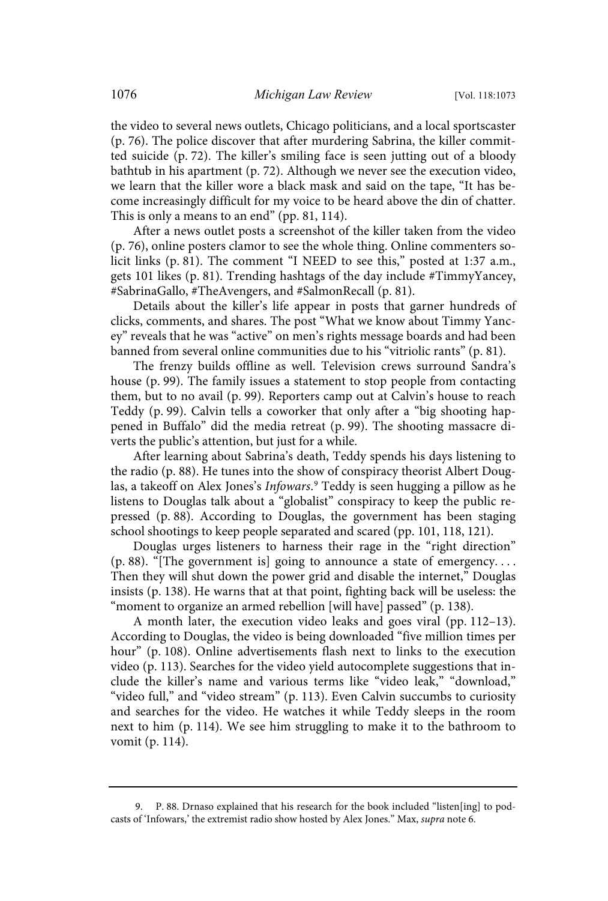the video to several news outlets, Chicago politicians, and a local sportscaster (p. 76). The police discover that after murdering Sabrina, the killer committed suicide (p. 72). The killer's smiling face is seen jutting out of a bloody bathtub in his apartment (p. 72). Although we never see the execution video, we learn that the killer wore a black mask and said on the tape, "It has become increasingly difficult for my voice to be heard above the din of chatter. This is only a means to an end" (pp. 81, 114).

After a news outlet posts a screenshot of the killer taken from the video (p. 76), online posters clamor to see the whole thing. Online commenters solicit links (p. 81). The comment "I NEED to see this," posted at 1:37 a.m., gets 101 likes (p. 81). Trending hashtags of the day include #TimmyYancey, #SabrinaGallo, #TheAvengers, and #SalmonRecall (p. 81).

Details about the killer's life appear in posts that garner hundreds of clicks, comments, and shares. The post "What we know about Timmy Yancey" reveals that he was "active" on men's rights message boards and had been banned from several online communities due to his "vitriolic rants" (p. 81).

The frenzy builds offline as well. Television crews surround Sandra's house (p. 99). The family issues a statement to stop people from contacting them, but to no avail (p. 99). Reporters camp out at Calvin's house to reach Teddy (p. 99). Calvin tells a coworker that only after a "big shooting happened in Buffalo" did the media retreat (p. 99). The shooting massacre diverts the public's attention, but just for a while.

After learning about Sabrina's death, Teddy spends his days listening to the radio (p. 88). He tunes into the show of conspiracy theorist Albert Douglas, a takeoff on Alex Jones's Infowars. <sup>9</sup> Teddy is seen hugging a pillow as he listens to Douglas talk about a "globalist" conspiracy to keep the public repressed (p. 88). According to Douglas, the government has been staging school shootings to keep people separated and scared (pp. 101, 118, 121).

Douglas urges listeners to harness their rage in the "right direction" (p. 88). "[The government is] going to announce a state of emergency. . . . Then they will shut down the power grid and disable the internet," Douglas insists (p. 138). He warns that at that point, fighting back will be useless: the "moment to organize an armed rebellion [will have] passed" (p. 138).

A month later, the execution video leaks and goes viral (pp. 112–13). According to Douglas, the video is being downloaded "five million times per hour" (p. 108). Online advertisements flash next to links to the execution video (p. 113). Searches for the video yield autocomplete suggestions that include the killer's name and various terms like "video leak," "download," "video full," and "video stream" (p. 113). Even Calvin succumbs to curiosity and searches for the video. He watches it while Teddy sleeps in the room next to him (p. 114). We see him struggling to make it to the bathroom to vomit (p. 114).

<sup>9.</sup> P. 88. Drnaso explained that his research for the book included "listen[ing] to podcasts of 'Infowars,' the extremist radio show hosted by Alex Jones." Max, supra note 6.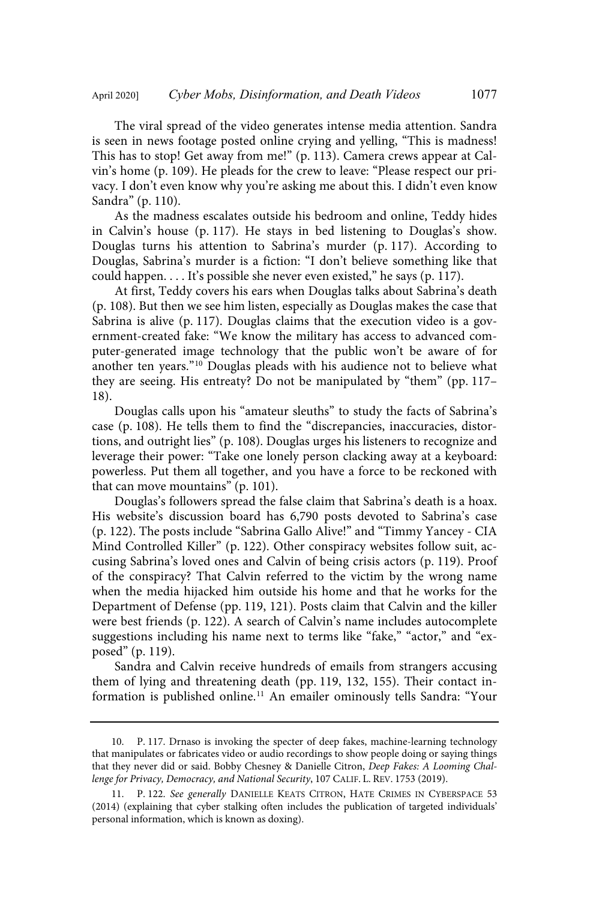The viral spread of the video generates intense media attention. Sandra is seen in news footage posted online crying and yelling, "This is madness! This has to stop! Get away from me!" (p. 113). Camera crews appear at Calvin's home (p. 109). He pleads for the crew to leave: "Please respect our privacy. I don't even know why you're asking me about this. I didn't even know Sandra" (p. 110).

As the madness escalates outside his bedroom and online, Teddy hides in Calvin's house (p. 117). He stays in bed listening to Douglas's show. Douglas turns his attention to Sabrina's murder (p. 117). According to Douglas, Sabrina's murder is a fiction: "I don't believe something like that could happen. . . . It's possible she never even existed," he says (p. 117).

At first, Teddy covers his ears when Douglas talks about Sabrina's death (p. 108). But then we see him listen, especially as Douglas makes the case that Sabrina is alive (p. 117). Douglas claims that the execution video is a government-created fake: "We know the military has access to advanced computer-generated image technology that the public won't be aware of for another ten years."<sup>10</sup> Douglas pleads with his audience not to believe what they are seeing. His entreaty? Do not be manipulated by "them" (pp. 117– 18).

Douglas calls upon his "amateur sleuths" to study the facts of Sabrina's case (p. 108). He tells them to find the "discrepancies, inaccuracies, distortions, and outright lies" (p. 108). Douglas urges his listeners to recognize and leverage their power: "Take one lonely person clacking away at a keyboard: powerless. Put them all together, and you have a force to be reckoned with that can move mountains" (p. 101).

Douglas's followers spread the false claim that Sabrina's death is a hoax. His website's discussion board has 6,790 posts devoted to Sabrina's case (p. 122). The posts include "Sabrina Gallo Alive!" and "Timmy Yancey - CIA Mind Controlled Killer" (p. 122). Other conspiracy websites follow suit, accusing Sabrina's loved ones and Calvin of being crisis actors (p. 119). Proof of the conspiracy? That Calvin referred to the victim by the wrong name when the media hijacked him outside his home and that he works for the Department of Defense (pp. 119, 121). Posts claim that Calvin and the killer were best friends (p. 122). A search of Calvin's name includes autocomplete suggestions including his name next to terms like "fake," "actor," and "exposed" (p. 119).

Sandra and Calvin receive hundreds of emails from strangers accusing them of lying and threatening death (pp. 119, 132, 155). Their contact information is published online. <sup>11</sup> An emailer ominously tells Sandra: "Your

<sup>10.</sup> P. 117. Drnaso is invoking the specter of deep fakes, machine-learning technology that manipulates or fabricates video or audio recordings to show people doing or saying things that they never did or said. Bobby Chesney & Danielle Citron, Deep Fakes: A Looming Challenge for Privacy, Democracy, and National Security, 107 CALIF. L. REV. 1753 (2019).

<sup>11.</sup> P. 122. See generally DANIELLE KEATS CITRON, HATE CRIMES IN CYBERSPACE 53 (2014) (explaining that cyber stalking often includes the publication of targeted individuals' personal information, which is known as doxing).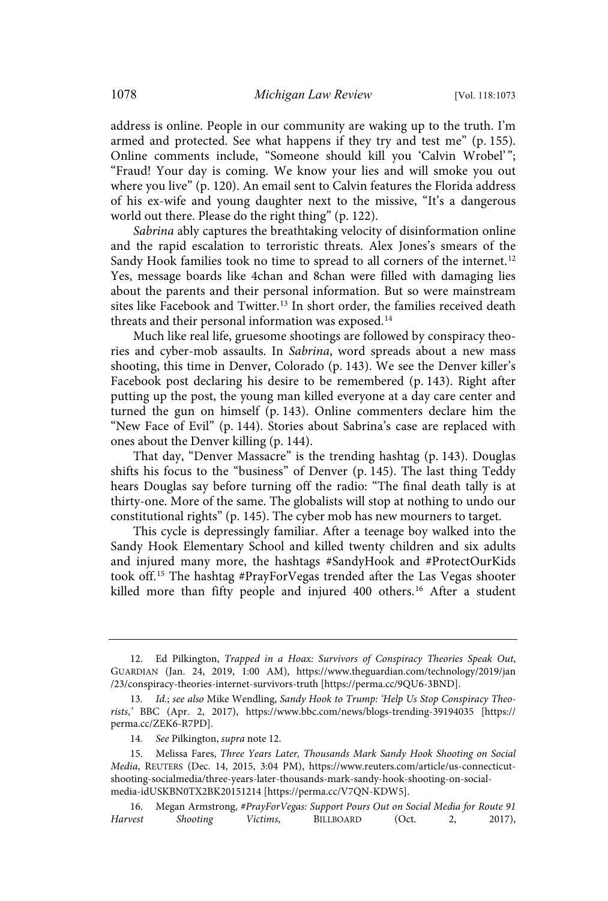address is online. People in our community are waking up to the truth. I'm armed and protected. See what happens if they try and test me" (p. 155). Online comments include, "Someone should kill you 'Calvin Wrobel'"; "Fraud! Your day is coming. We know your lies and will smoke you out where you live" (p. 120). An email sent to Calvin features the Florida address of his ex-wife and young daughter next to the missive, "It's a dangerous world out there. Please do the right thing" (p. 122).

Sabrina ably captures the breathtaking velocity of disinformation online and the rapid escalation to terroristic threats. Alex Jones's smears of the Sandy Hook families took no time to spread to all corners of the internet.<sup>12</sup> Yes, message boards like 4chan and 8chan were filled with damaging lies about the parents and their personal information. But so were mainstream sites like Facebook and Twitter. <sup>13</sup> In short order, the families received death threats and their personal information was exposed.<sup>14</sup>

Much like real life, gruesome shootings are followed by conspiracy theories and cyber-mob assaults. In Sabrina, word spreads about a new mass shooting, this time in Denver, Colorado (p. 143). We see the Denver killer's Facebook post declaring his desire to be remembered (p. 143). Right after putting up the post, the young man killed everyone at a day care center and turned the gun on himself (p. 143). Online commenters declare him the "New Face of Evil" (p. 144). Stories about Sabrina's case are replaced with ones about the Denver killing (p. 144).

That day, "Denver Massacre" is the trending hashtag (p. 143). Douglas shifts his focus to the "business" of Denver (p. 145). The last thing Teddy hears Douglas say before turning off the radio: "The final death tally is at thirty-one. More of the same. The globalists will stop at nothing to undo our constitutional rights" (p. 145). The cyber mob has new mourners to target.

This cycle is depressingly familiar. After a teenage boy walked into the Sandy Hook Elementary School and killed twenty children and six adults and injured many more, the hashtags #SandyHook and #ProtectOurKids took off.<sup>15</sup> The hashtag #PrayForVegas trended after the Las Vegas shooter killed more than fifty people and injured 400 others. <sup>16</sup> After a student

<sup>12.</sup> Ed Pilkington, Trapped in a Hoax: Survivors of Conspiracy Theories Speak Out, GUARDIAN (Jan. 24, 2019, 1:00 AM), https://www.theguardian.com/technology/2019/jan /23/conspiracy-theories-internet-survivors-truth [https://perma.cc/9QU6-3BND].

<sup>13</sup>. Id.; see also Mike Wendling, Sandy Hook to Trump: 'Help Us Stop Conspiracy Theorists,' BBC (Apr. 2, 2017), https://www.bbc.com/news/blogs-trending-39194035 [https:// perma.cc/ZEK6-R7PD].

<sup>14</sup>. See Pilkington, supra note 12.

<sup>15.</sup> Melissa Fares, Three Years Later, Thousands Mark Sandy Hook Shooting on Social Media, REUTERS (Dec. 14, 2015, 3:04 PM), https://www.reuters.com/article/us-connecticutshooting-socialmedia/three-years-later-thousands-mark-sandy-hook-shooting-on-socialmedia-idUSKBN0TX2BK20151214 [https://perma.cc/V7QN-KDW5].

<sup>16.</sup> Megan Armstrong, #PrayForVegas: Support Pours Out on Social Media for Route 91<br>Harvest Shooting Victims. BILLBOARD (Oct. 2, 2017). Shooting Victims, BILLBOARD (Oct. 2, 2017),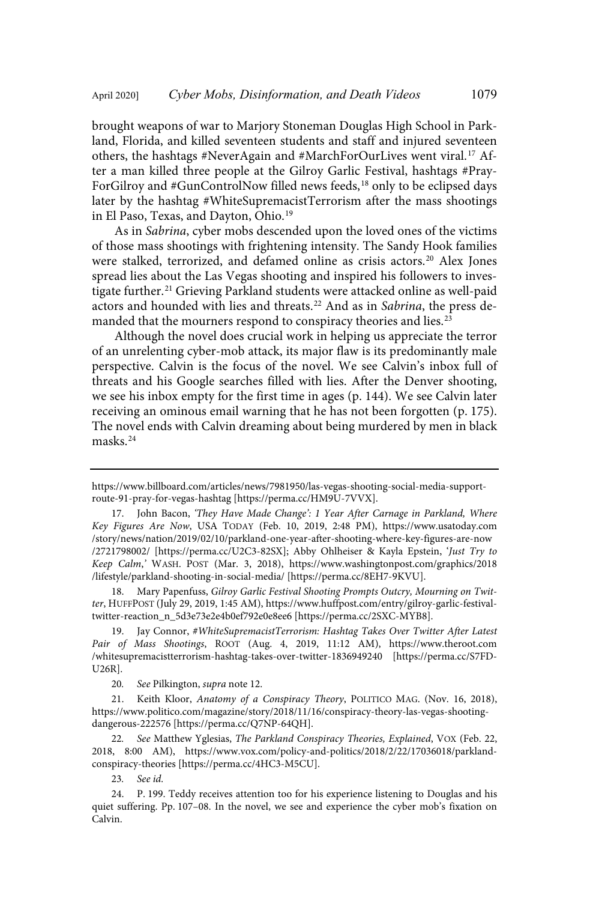brought weapons of war to Marjory Stoneman Douglas High School in Parkland, Florida, and killed seventeen students and staff and injured seventeen others, the hashtags #NeverAgain and #MarchForOurLives went viral.<sup>17</sup> After a man killed three people at the Gilroy Garlic Festival, hashtags #Pray-ForGilroy and #GunControlNow filled news feeds,<sup>18</sup> only to be eclipsed days later by the hashtag #WhiteSupremacistTerrorism after the mass shootings in El Paso, Texas, and Dayton, Ohio. 19

As in Sabrina, cyber mobs descended upon the loved ones of the victims of those mass shootings with frightening intensity. The Sandy Hook families were stalked, terrorized, and defamed online as crisis actors.<sup>20</sup> Alex Jones spread lies about the Las Vegas shooting and inspired his followers to investigate further.<sup>21</sup> Grieving Parkland students were attacked online as well-paid actors and hounded with lies and threats.<sup>22</sup> And as in Sabrina, the press demanded that the mourners respond to conspiracy theories and lies. 23

Although the novel does crucial work in helping us appreciate the terror of an unrelenting cyber-mob attack, its major flaw is its predominantly male perspective. Calvin is the focus of the novel. We see Calvin's inbox full of threats and his Google searches filled with lies. After the Denver shooting, we see his inbox empty for the first time in ages (p. 144). We see Calvin later receiving an ominous email warning that he has not been forgotten (p. 175). The novel ends with Calvin dreaming about being murdered by men in black masks.<sup>24</sup>

Mary Papenfuss, Gilroy Garlic Festival Shooting Prompts Outcry, Mourning on Twitter, HUFFPOST (July 29, 2019, 1:45 AM), https://www.huffpost.com/entry/gilroy-garlic-festivaltwitter-reaction\_n\_5d3e73e2e4b0ef792e0e8ee6 [https://perma.cc/2SXC-MYB8].

19. Jay Connor, #WhiteSupremacistTerrorism: Hashtag Takes Over Twitter After Latest Pair of Mass Shootings, ROOT (Aug. 4, 2019, 11:12 AM), https://www.theroot.com /whitesupremacistterrorism-hashtag-takes-over-twitter-1836949240 [https://perma.cc/S7FD-U26R].

20. See Pilkington, supra note 12.

21. Keith Kloor, Anatomy of a Conspiracy Theory, POLITICO MAG. (Nov. 16, 2018), https://www.politico.com/magazine/story/2018/11/16/conspiracy-theory-las-vegas-shootingdangerous-222576 [https://perma.cc/Q7NP-64QH].

22. See Matthew Yglesias, The Parkland Conspiracy Theories, Explained, VOX (Feb. 22, 2018, 8:00 AM), https://www.vox.com/policy-and-politics/2018/2/22/17036018/parklandconspiracy-theories [https://perma.cc/4HC3-M5CU].

23. See id.

https://www.billboard.com/articles/news/7981950/las-vegas-shooting-social-media-supportroute-91-pray-for-vegas-hashtag [https://perma.cc/HM9U-7VVX].

<sup>17.</sup> John Bacon, 'They Have Made Change': 1 Year After Carnage in Parkland, Where Key Figures Are Now, USA TODAY (Feb. 10, 2019, 2:48 PM), https://www.usatoday.com /story/news/nation/2019/02/10/parkland-one-year-after-shooting-where-key-figures-are-now /2721798002/ [https://perma.cc/U2C3-82SX]; Abby Ohlheiser & Kayla Epstein, 'Just Try to Keep Calm,' WASH. POST (Mar. 3, 2018), https://www.washingtonpost.com/graphics/2018 /lifestyle/parkland-shooting-in-social-media/ [https://perma.cc/8EH7-9KVU].

<sup>24.</sup> P. 199. Teddy receives attention too for his experience listening to Douglas and his quiet suffering. Pp. 107–08. In the novel, we see and experience the cyber mob's fixation on Calvin.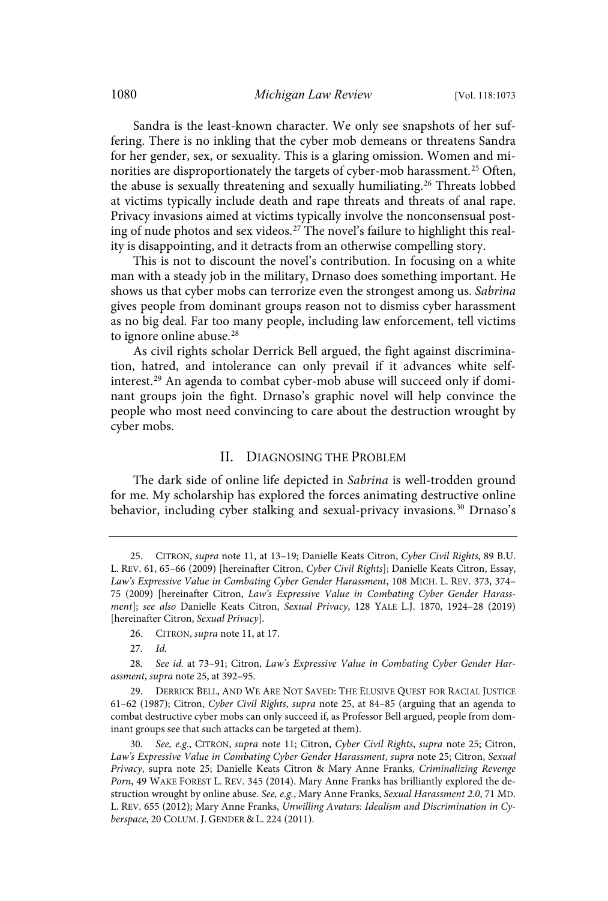Sandra is the least-known character. We only see snapshots of her suffering. There is no inkling that the cyber mob demeans or threatens Sandra for her gender, sex, or sexuality. This is a glaring omission. Women and minorities are disproportionately the targets of cyber-mob harassment.<sup>25</sup> Often, the abuse is sexually threatening and sexually humiliating.<sup>26</sup> Threats lobbed at victims typically include death and rape threats and threats of anal rape. Privacy invasions aimed at victims typically involve the nonconsensual posting of nude photos and sex videos.<sup>27</sup> The novel's failure to highlight this reality is disappointing, and it detracts from an otherwise compelling story.

This is not to discount the novel's contribution. In focusing on a white man with a steady job in the military, Drnaso does something important. He shows us that cyber mobs can terrorize even the strongest among us. Sabrina gives people from dominant groups reason not to dismiss cyber harassment as no big deal. Far too many people, including law enforcement, tell victims to ignore online abuse.<sup>28</sup>

As civil rights scholar Derrick Bell argued, the fight against discrimination, hatred, and intolerance can only prevail if it advances white selfinterest.<sup>29</sup> An agenda to combat cyber-mob abuse will succeed only if dominant groups join the fight. Drnaso's graphic novel will help convince the people who most need convincing to care about the destruction wrought by cyber mobs.

#### II. DIAGNOSING THE PROBLEM

The dark side of online life depicted in Sabrina is well-trodden ground for me. My scholarship has explored the forces animating destructive online behavior, including cyber stalking and sexual-privacy invasions.<sup>30</sup> Drnaso's

<sup>25.</sup> CITRON, supra note 11, at 13–19; Danielle Keats Citron, Cyber Civil Rights, 89 B.U. L. REV. 61, 65–66 (2009) [hereinafter Citron, Cyber Civil Rights]; Danielle Keats Citron, Essay, Law's Expressive Value in Combating Cyber Gender Harassment, 108 MICH. L. REV. 373, 374– 75 (2009) [hereinafter Citron, Law's Expressive Value in Combating Cyber Gender Harassment]; see also Danielle Keats Citron, Sexual Privacy, 128 YALE L.J. 1870, 1924–28 (2019) [hereinafter Citron, Sexual Privacy].

<sup>26.</sup> CITRON, supra note 11, at 17.

<sup>27</sup>. Id.

<sup>28</sup>. See id. at 73–91; Citron, Law's Expressive Value in Combating Cyber Gender Harassment, supra note 25, at 392–95.

<sup>29.</sup> DERRICK BELL, AND WE ARE NOT SAVED: THE ELUSIVE QUEST FOR RACIAL JUSTICE 61–62 (1987); Citron, Cyber Civil Rights, supra note 25, at 84–85 (arguing that an agenda to combat destructive cyber mobs can only succeed if, as Professor Bell argued, people from dominant groups see that such attacks can be targeted at them).

<sup>30</sup>. See, e.g., CITRON, supra note 11; Citron, Cyber Civil Rights, supra note 25; Citron, Law's Expressive Value in Combating Cyber Gender Harassment, supra note 25; Citron, Sexual Privacy, supra note 25; Danielle Keats Citron & Mary Anne Franks, Criminalizing Revenge Porn, 49 WAKE FOREST L. REV. 345 (2014). Mary Anne Franks has brilliantly explored the destruction wrought by online abuse. See, e.g., Mary Anne Franks, Sexual Harassment 2.0, 71 MD. L. REV. 655 (2012); Mary Anne Franks, Unwilling Avatars: Idealism and Discrimination in Cyberspace, 20 COLUM. J. GENDER & L. 224 (2011).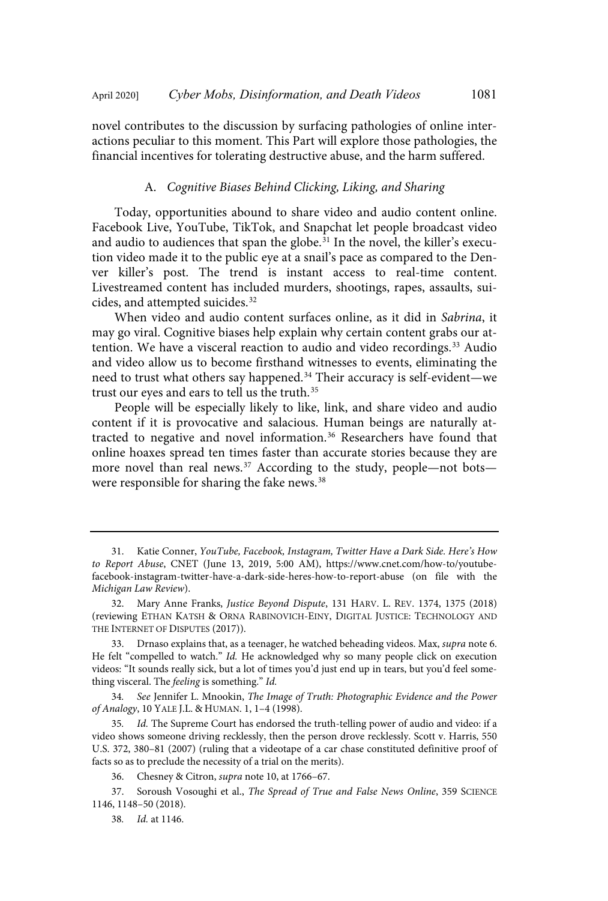novel contributes to the discussion by surfacing pathologies of online interactions peculiar to this moment. This Part will explore those pathologies, the financial incentives for tolerating destructive abuse, and the harm suffered.

# A. Cognitive Biases Behind Clicking, Liking, and Sharing

Today, opportunities abound to share video and audio content online. Facebook Live, YouTube, TikTok, and Snapchat let people broadcast video and audio to audiences that span the globe.<sup>31</sup> In the novel, the killer's execution video made it to the public eye at a snail's pace as compared to the Denver killer's post. The trend is instant access to real-time content. Livestreamed content has included murders, shootings, rapes, assaults, suicides, and attempted suicides. 32

When video and audio content surfaces online, as it did in Sabrina, it may go viral. Cognitive biases help explain why certain content grabs our attention. We have a visceral reaction to audio and video recordings.<sup>33</sup> Audio and video allow us to become firsthand witnesses to events, eliminating the need to trust what others say happened.<sup>34</sup> Their accuracy is self-evident—we trust our eyes and ears to tell us the truth. 35

People will be especially likely to like, link, and share video and audio content if it is provocative and salacious. Human beings are naturally attracted to negative and novel information.<sup>36</sup> Researchers have found that online hoaxes spread ten times faster than accurate stories because they are more novel than real news. <sup>37</sup> According to the study, people—not bots were responsible for sharing the fake news. 38

34. See Jennifer L. Mnookin, The Image of Truth: Photographic Evidence and the Power of Analogy, 10 YALE J.L. & HUMAN. 1, 1–4 (1998).

35. Id. The Supreme Court has endorsed the truth-telling power of audio and video: if a video shows someone driving recklessly, then the person drove recklessly. Scott v. Harris, 550 U.S. 372, 380–81 (2007) (ruling that a videotape of a car chase constituted definitive proof of facts so as to preclude the necessity of a trial on the merits).

36. Chesney & Citron, supra note 10, at 1766–67.

37. Soroush Vosoughi et al., The Spread of True and False News Online, 359 SCIENCE 1146, 1148–50 (2018).

38. Id. at 1146.

<sup>31.</sup> Katie Conner, YouTube, Facebook, Instagram, Twitter Have a Dark Side. Here's How to Report Abuse, CNET (June 13, 2019, 5:00 AM), https://www.cnet.com/how-to/youtubefacebook-instagram-twitter-have-a-dark-side-heres-how-to-report-abuse (on file with the Michigan Law Review).

<sup>32.</sup> Mary Anne Franks, Justice Beyond Dispute, 131 HARV. L. REV. 1374, 1375 (2018) (reviewing ETHAN KATSH & ORNA RABINOVICH-EINY, DIGITAL JUSTICE: TECHNOLOGY AND THE INTERNET OF DISPUTES (2017)).

<sup>33.</sup> Drnaso explains that, as a teenager, he watched beheading videos. Max, supra note 6. He felt "compelled to watch." Id. He acknowledged why so many people click on execution videos: "It sounds really sick, but a lot of times you'd just end up in tears, but you'd feel something visceral. The feeling is something." Id.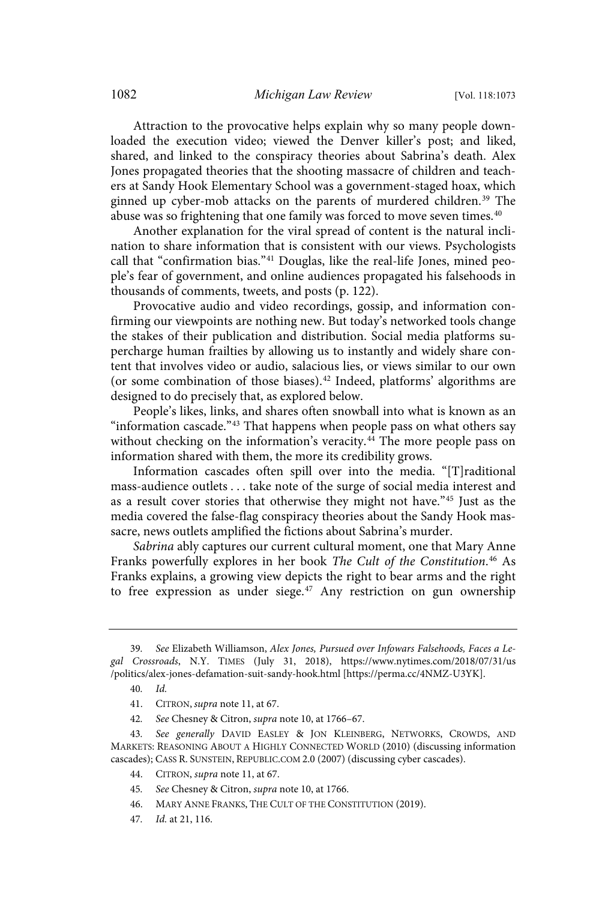Attraction to the provocative helps explain why so many people downloaded the execution video; viewed the Denver killer's post; and liked, shared, and linked to the conspiracy theories about Sabrina's death. Alex Jones propagated theories that the shooting massacre of children and teachers at Sandy Hook Elementary School was a government-staged hoax, which ginned up cyber-mob attacks on the parents of murdered children. <sup>39</sup> The abuse was so frightening that one family was forced to move seven times.<sup>40</sup>

Another explanation for the viral spread of content is the natural inclination to share information that is consistent with our views. Psychologists call that "confirmation bias."<sup>41</sup> Douglas, like the real-life Jones, mined people's fear of government, and online audiences propagated his falsehoods in thousands of comments, tweets, and posts (p. 122).

Provocative audio and video recordings, gossip, and information confirming our viewpoints are nothing new. But today's networked tools change the stakes of their publication and distribution. Social media platforms supercharge human frailties by allowing us to instantly and widely share content that involves video or audio, salacious lies, or views similar to our own (or some combination of those biases). <sup>42</sup> Indeed, platforms' algorithms are designed to do precisely that, as explored below.

People's likes, links, and shares often snowball into what is known as an "information cascade."<sup>43</sup> That happens when people pass on what others say without checking on the information's veracity.<sup>44</sup> The more people pass on information shared with them, the more its credibility grows.

Information cascades often spill over into the media. "[T]raditional mass-audience outlets . . . take note of the surge of social media interest and as a result cover stories that otherwise they might not have."<sup>45</sup> Just as the media covered the false-flag conspiracy theories about the Sandy Hook massacre, news outlets amplified the fictions about Sabrina's murder.

Sabrina ably captures our current cultural moment, one that Mary Anne Franks powerfully explores in her book The Cult of the Constitution. <sup>46</sup> As Franks explains, a growing view depicts the right to bear arms and the right to free expression as under siege. <sup>47</sup> Any restriction on gun ownership

- 46. MARY ANNE FRANKS, THE CULT OF THE CONSTITUTION (2019).
- 47. Id. at 21, 116.

<sup>39</sup>. See Elizabeth Williamson, Alex Jones, Pursued over Infowars Falsehoods, Faces a Legal Crossroads, N.Y. TIMES (July 31, 2018), https://www.nytimes.com/2018/07/31/us /politics/alex-jones-defamation-suit-sandy-hook.html [https://perma.cc/4NMZ-U3YK].

<sup>40</sup>. Id.

<sup>41.</sup> CITRON, supra note 11, at 67.

<sup>42</sup>. See Chesney & Citron, supra note 10, at 1766–67.

<sup>43</sup>. See generally DAVID EASLEY & JON KLEINBERG, NETWORKS, CROWDS, AND MARKETS: REASONING ABOUT A HIGHLY CONNECTED WORLD (2010) (discussing information cascades); CASS R. SUNSTEIN, REPUBLIC.COM 2.0 (2007) (discussing cyber cascades).

<sup>44.</sup> CITRON, supra note 11, at 67.

<sup>45</sup>. See Chesney & Citron, supra note 10, at 1766.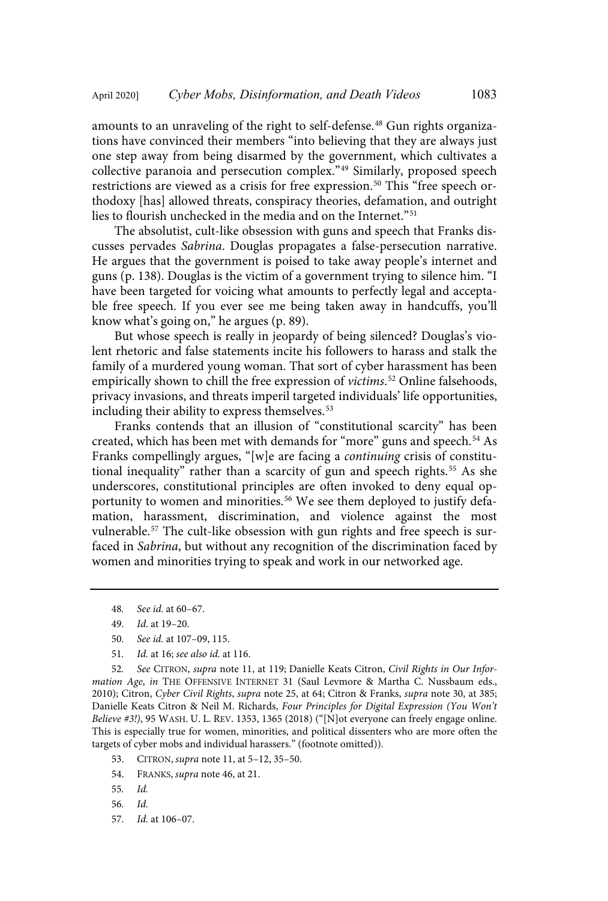amounts to an unraveling of the right to self-defense.<sup>48</sup> Gun rights organizations have convinced their members "into believing that they are always just one step away from being disarmed by the government, which cultivates a collective paranoia and persecution complex."<sup>49</sup> Similarly, proposed speech restrictions are viewed as a crisis for free expression.<sup>50</sup> This "free speech orthodoxy [has] allowed threats, conspiracy theories, defamation, and outright lies to flourish unchecked in the media and on the Internet." 51

The absolutist, cult-like obsession with guns and speech that Franks discusses pervades Sabrina. Douglas propagates a false-persecution narrative. He argues that the government is poised to take away people's internet and guns (p. 138). Douglas is the victim of a government trying to silence him. "I have been targeted for voicing what amounts to perfectly legal and acceptable free speech. If you ever see me being taken away in handcuffs, you'll know what's going on," he argues (p. 89).

But whose speech is really in jeopardy of being silenced? Douglas's violent rhetoric and false statements incite his followers to harass and stalk the family of a murdered young woman. That sort of cyber harassment has been empirically shown to chill the free expression of *victims*.<sup>52</sup> Online falsehoods, privacy invasions, and threats imperil targeted individuals' life opportunities, including their ability to express themselves. 53

Franks contends that an illusion of "constitutional scarcity" has been created, which has been met with demands for "more" guns and speech.<sup>54</sup> As Franks compellingly argues, "[w]e are facing a continuing crisis of constitutional inequality" rather than a scarcity of gun and speech rights. <sup>55</sup> As she underscores, constitutional principles are often invoked to deny equal opportunity to women and minorities.<sup>56</sup> We see them deployed to justify defamation, harassment, discrimination, and violence against the most vulnerable.<sup>57</sup> The cult-like obsession with gun rights and free speech is surfaced in Sabrina, but without any recognition of the discrimination faced by women and minorities trying to speak and work in our networked age.

- 50. See id. at 107–09, 115.
- 51. Id. at 16; see also id. at 116.

52. See CITRON, supra note 11, at 119; Danielle Keats Citron, Civil Rights in Our Information Age, in THE OFFENSIVE INTERNET 31 (Saul Levmore & Martha C. Nussbaum eds., 2010); Citron, Cyber Civil Rights, supra note 25, at 64; Citron & Franks, supra note 30, at 385; Danielle Keats Citron & Neil M. Richards, Four Principles for Digital Expression (You Won't Believe #3!), 95 WASH. U. L. REV. 1353, 1365 (2018) ("[N]ot everyone can freely engage online. This is especially true for women, minorities, and political dissenters who are more often the targets of cyber mobs and individual harassers." (footnote omitted)).

- 53. CITRON, supra note 11, at 5–12, 35–50.
- 54. FRANKS, supra note 46, at 21.
- 55. Id.
- 56. Id.
- 57. Id. at 106–07.

<sup>48</sup>. See id. at 60–67.

<sup>49</sup>. Id. at 19–20.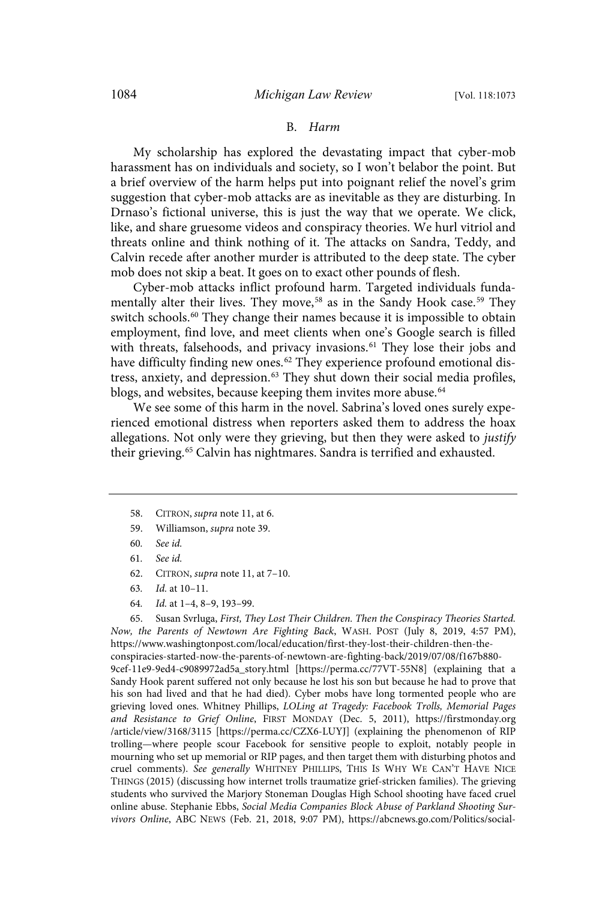#### B. Harm

My scholarship has explored the devastating impact that cyber-mob harassment has on individuals and society, so I won't belabor the point. But a brief overview of the harm helps put into poignant relief the novel's grim suggestion that cyber-mob attacks are as inevitable as they are disturbing. In Drnaso's fictional universe, this is just the way that we operate. We click, like, and share gruesome videos and conspiracy theories. We hurl vitriol and threats online and think nothing of it. The attacks on Sandra, Teddy, and Calvin recede after another murder is attributed to the deep state. The cyber mob does not skip a beat. It goes on to exact other pounds of flesh.

Cyber-mob attacks inflict profound harm. Targeted individuals fundamentally alter their lives. They move, <sup>58</sup> as in the Sandy Hook case. <sup>59</sup> They switch schools.<sup>60</sup> They change their names because it is impossible to obtain employment, find love, and meet clients when one's Google search is filled with threats, falsehoods, and privacy invasions.<sup>61</sup> They lose their jobs and have difficulty finding new ones. <sup>62</sup> They experience profound emotional distress, anxiety, and depression.<sup>63</sup> They shut down their social media profiles, blogs, and websites, because keeping them invites more abuse.<sup>64</sup>

We see some of this harm in the novel. Sabrina's loved ones surely experienced emotional distress when reporters asked them to address the hoax allegations. Not only were they grieving, but then they were asked to justify their grieving.<sup>65</sup> Calvin has nightmares. Sandra is terrified and exhausted.

- 61. See id.
- 62. CITRON, supra note 11, at 7–10.

64. Id. at 1–4, 8–9, 193–99.

65. Susan Svrluga, First, They Lost Their Children. Then the Conspiracy Theories Started. Now, the Parents of Newtown Are Fighting Back, WASH. POST (July 8, 2019, 4:57 PM), https://www.washingtonpost.com/local/education/first-they-lost-their-children-then-theconspiracies-started-now-the-parents-of-newtown-are-fighting-back/2019/07/08/f167b880- 9cef-11e9-9ed4-c9089972ad5a\_story.html [https://perma.cc/77VT-55N8] (explaining that a Sandy Hook parent suffered not only because he lost his son but because he had to prove that his son had lived and that he had died). Cyber mobs have long tormented people who are grieving loved ones. Whitney Phillips, LOLing at Tragedy: Facebook Trolls, Memorial Pages and Resistance to Grief Online, FIRST MONDAY (Dec. 5, 2011), https://firstmonday.org /article/view/3168/3115 [https://perma.cc/CZX6-LUYJ] (explaining the phenomenon of RIP trolling—where people scour Facebook for sensitive people to exploit, notably people in mourning who set up memorial or RIP pages, and then target them with disturbing photos and cruel comments). See generally WHITNEY PHILLIPS, THIS IS WHY WE CAN'T HAVE NICE THINGS (2015) (discussing how internet trolls traumatize grief-stricken families). The grieving students who survived the Marjory Stoneman Douglas High School shooting have faced cruel online abuse. Stephanie Ebbs, Social Media Companies Block Abuse of Parkland Shooting Survivors Online, ABC NEWS (Feb. 21, 2018, 9:07 PM), https://abcnews.go.com/Politics/social-

<sup>58.</sup> CITRON, supra note 11, at 6.

<sup>59.</sup> Williamson, supra note 39.

<sup>60</sup>. See id.

<sup>63</sup>. Id. at 10–11.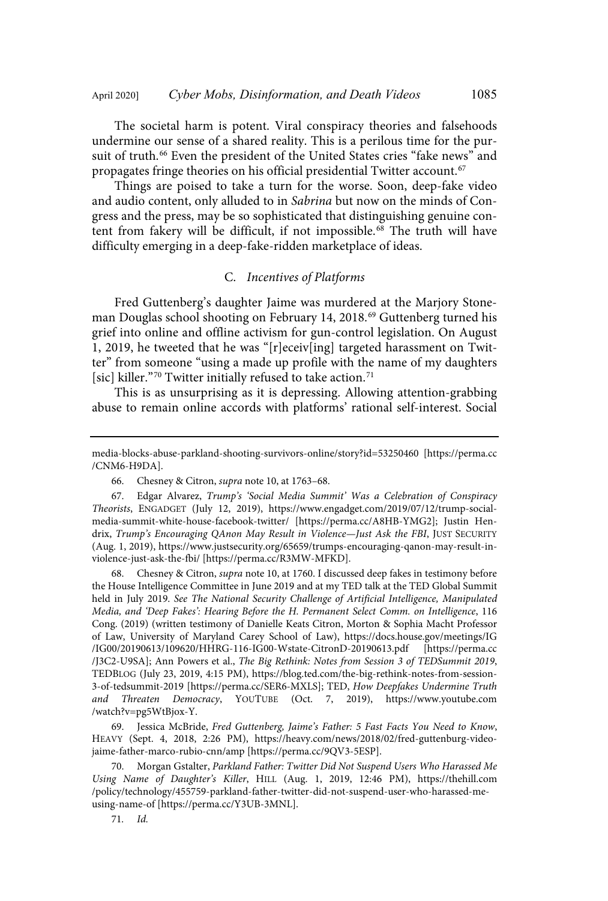The societal harm is potent. Viral conspiracy theories and falsehoods undermine our sense of a shared reality. This is a perilous time for the pursuit of truth.<sup>66</sup> Even the president of the United States cries "fake news" and propagates fringe theories on his official presidential Twitter account.<sup>67</sup>

Things are poised to take a turn for the worse. Soon, deep-fake video and audio content, only alluded to in Sabrina but now on the minds of Congress and the press, may be so sophisticated that distinguishing genuine content from fakery will be difficult, if not impossible.<sup>68</sup> The truth will have difficulty emerging in a deep-fake-ridden marketplace of ideas.

#### C. Incentives of Platforms

Fred Guttenberg's daughter Jaime was murdered at the Marjory Stoneman Douglas school shooting on February 14, 2018.<sup>69</sup> Guttenberg turned his grief into online and offline activism for gun-control legislation. On August 1, 2019, he tweeted that he was "[r]eceiv[ing] targeted harassment on Twitter" from someone "using a made up profile with the name of my daughters [sic] killer."<sup>70</sup> Twitter initially refused to take action.<sup>71</sup>

This is as unsurprising as it is depressing. Allowing attention-grabbing abuse to remain online accords with platforms' rational self-interest. Social

68. Chesney & Citron, supra note 10, at 1760. I discussed deep fakes in testimony before the House Intelligence Committee in June 2019 and at my TED talk at the TED Global Summit held in July 2019. See The National Security Challenge of Artificial Intelligence, Manipulated Media, and 'Deep Fakes': Hearing Before the H. Permanent Select Comm. on Intelligence, 116 Cong. (2019) (written testimony of Danielle Keats Citron, Morton & Sophia Macht Professor of Law, University of Maryland Carey School of Law), https://docs.house.gov/meetings/IG /IG00/20190613/109620/HHRG-116-IG00-Wstate-CitronD-20190613.pdf [https://perma.cc /J3C2-U9SA]; Ann Powers et al., The Big Rethink: Notes from Session 3 of TEDSummit 2019, TEDBLOG (July 23, 2019, 4:15 PM), https://blog.ted.com/the-big-rethink-notes-from-session-3-of-tedsummit-2019 [https://perma.cc/SER6-MXLS]; TED, How Deepfakes Undermine Truth and Threaten Democracy, YOUTUBE (Oct. 7, 2019), https://www.youtube.com /watch?v=pg5WtBjox-Y.

69. Jessica McBride, Fred Guttenberg, Jaime's Father: 5 Fast Facts You Need to Know, HEAVY (Sept. 4, 2018, 2:26 PM), https://heavy.com/news/2018/02/fred-guttenburg-videojaime-father-marco-rubio-cnn/amp [https://perma.cc/9QV3-5ESP].

70. Morgan Gstalter, Parkland Father: Twitter Did Not Suspend Users Who Harassed Me Using Name of Daughter's Killer, HILL (Aug. 1, 2019, 12:46 PM), https://thehill.com /policy/technology/455759-parkland-father-twitter-did-not-suspend-user-who-harassed-meusing-name-of [https://perma.cc/Y3UB-3MNL].

71. Id.

media-blocks-abuse-parkland-shooting-survivors-online/story?id=53250460 [https://perma.cc /CNM6-H9DA].

<sup>66.</sup> Chesney & Citron, supra note 10, at 1763–68.

<sup>67.</sup> Edgar Alvarez, Trump's 'Social Media Summit' Was a Celebration of Conspiracy Theorists, ENGADGET (July 12, 2019), https://www.engadget.com/2019/07/12/trump-socialmedia-summit-white-house-facebook-twitter/ [https://perma.cc/A8HB-YMG2]; Justin Hendrix, Trump's Encouraging QAnon May Result in Violence—Just Ask the FBI, JUST SECURITY (Aug. 1, 2019), https://www.justsecurity.org/65659/trumps-encouraging-qanon-may-result-inviolence-just-ask-the-fbi/ [https://perma.cc/R3MW-MFKD].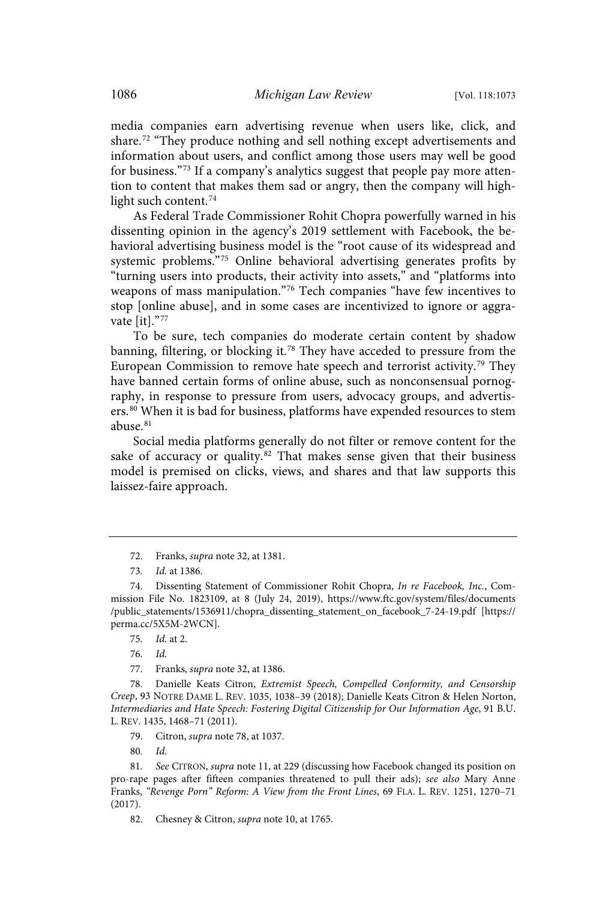media companies earn advertising revenue when users like, click, and share. <sup>72</sup> "They produce nothing and sell nothing except advertisements and information about users, and conflict among those users may well be good for business."<sup>73</sup> If a company's analytics suggest that people pay more attention to content that makes them sad or angry, then the company will highlight such content.<sup>74</sup>

As Federal Trade Commissioner Rohit Chopra powerfully warned in his dissenting opinion in the agency's 2019 settlement with Facebook, the behavioral advertising business model is the "root cause of its widespread and systemic problems."<sup>75</sup> Online behavioral advertising generates profits by "turning users into products, their activity into assets," and "platforms into weapons of mass manipulation."<sup>76</sup> Tech companies "have few incentives to stop [online abuse], and in some cases are incentivized to ignore or aggravate [it]." 77

To be sure, tech companies do moderate certain content by shadow banning, filtering, or blocking it. <sup>78</sup> They have acceded to pressure from the European Commission to remove hate speech and terrorist activity.<sup>79</sup> They have banned certain forms of online abuse, such as nonconsensual pornography, in response to pressure from users, advocacy groups, and advertisers.<sup>80</sup> When it is bad for business, platforms have expended resources to stem abuse.<sup>81</sup>

Social media platforms generally do not filter or remove content for the sake of accuracy or quality.<sup>82</sup> That makes sense given that their business model is premised on clicks, views, and shares and that law supports this laissez-faire approach.

76. Id.

77. Franks, supra note 32, at 1386.

78. Danielle Keats Citron, Extremist Speech, Compelled Conformity, and Censorship Creep, 93 NOTRE DAME L. REV. 1035, 1038–39 (2018); Danielle Keats Citron & Helen Norton, Intermediaries and Hate Speech: Fostering Digital Citizenship for Our Information Age, 91 B.U. L. REV. 1435, 1468–71 (2011).

79. Citron, supra note 78, at 1037.

80. Id.

81. See CITRON, supra note 11, at 229 (discussing how Facebook changed its position on pro-rape pages after fifteen companies threatened to pull their ads); see also Mary Anne Franks, "Revenge Porn" Reform: A View from the Front Lines, 69 FLA. L. REV. 1251, 1270–71 (2017).

82. Chesney & Citron, supra note 10, at 1765.

<sup>72.</sup> Franks, supra note 32, at 1381.

<sup>73</sup>. Id. at 1386.

<sup>74.</sup> Dissenting Statement of Commissioner Rohit Chopra, In re Facebook, Inc., Commission File No. 1823109, at 8 (July 24, 2019), https://www.ftc.gov/system/files/documents /public\_statements/1536911/chopra\_dissenting\_statement\_on\_facebook\_7-24-19.pdf [https:// perma.cc/5X5M-2WCN].

<sup>75</sup>. Id. at 2.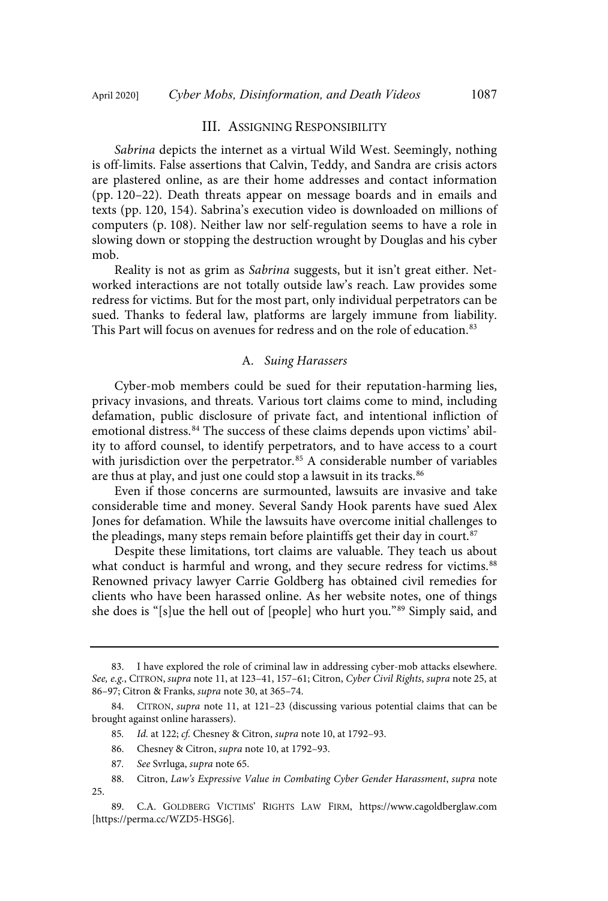#### III. ASSIGNING RESPONSIBILITY

Sabrina depicts the internet as a virtual Wild West. Seemingly, nothing is off-limits. False assertions that Calvin, Teddy, and Sandra are crisis actors are plastered online, as are their home addresses and contact information (pp. 120–22). Death threats appear on message boards and in emails and texts (pp. 120, 154). Sabrina's execution video is downloaded on millions of computers (p. 108). Neither law nor self-regulation seems to have a role in slowing down or stopping the destruction wrought by Douglas and his cyber mob.

Reality is not as grim as Sabrina suggests, but it isn't great either. Networked interactions are not totally outside law's reach. Law provides some redress for victims. But for the most part, only individual perpetrators can be sued. Thanks to federal law, platforms are largely immune from liability. This Part will focus on avenues for redress and on the role of education.<sup>83</sup>

#### A. Suing Harassers

Cyber-mob members could be sued for their reputation-harming lies, privacy invasions, and threats. Various tort claims come to mind, including defamation, public disclosure of private fact, and intentional infliction of emotional distress. <sup>84</sup> The success of these claims depends upon victims' ability to afford counsel, to identify perpetrators, and to have access to a court with jurisdiction over the perpetrator. <sup>85</sup> A considerable number of variables are thus at play, and just one could stop a lawsuit in its tracks.<sup>86</sup>

Even if those concerns are surmounted, lawsuits are invasive and take considerable time and money. Several Sandy Hook parents have sued Alex Jones for defamation. While the lawsuits have overcome initial challenges to the pleadings, many steps remain before plaintiffs get their day in court. $^{87}$ 

Despite these limitations, tort claims are valuable. They teach us about what conduct is harmful and wrong, and they secure redress for victims.<sup>88</sup> Renowned privacy lawyer Carrie Goldberg has obtained civil remedies for clients who have been harassed online. As her website notes, one of things she does is "[s]ue the hell out of [people] who hurt you."<sup>89</sup> Simply said, and

- 86. Chesney & Citron, supra note 10, at 1792-93.
- 87. See Svrluga, supra note 65.
- 88. Citron, Law's Expressive Value in Combating Cyber Gender Harassment, supra note 25.

<sup>83.</sup> I have explored the role of criminal law in addressing cyber-mob attacks elsewhere. See, e.g., CITRON, supra note 11, at 123–41, 157–61; Citron, Cyber Civil Rights, supra note 25, at 86–97; Citron & Franks, supra note 30, at 365–74.

<sup>84.</sup> CITRON, *supra* note 11, at 121-23 (discussing various potential claims that can be brought against online harassers).

<sup>85</sup>. Id. at 122; cf. Chesney & Citron, supra note 10, at 1792–93.

<sup>89.</sup> C.A. GOLDBERG VICTIMS' RIGHTS LAW FIRM, https://www.cagoldberglaw.com [https://perma.cc/WZD5-HSG6].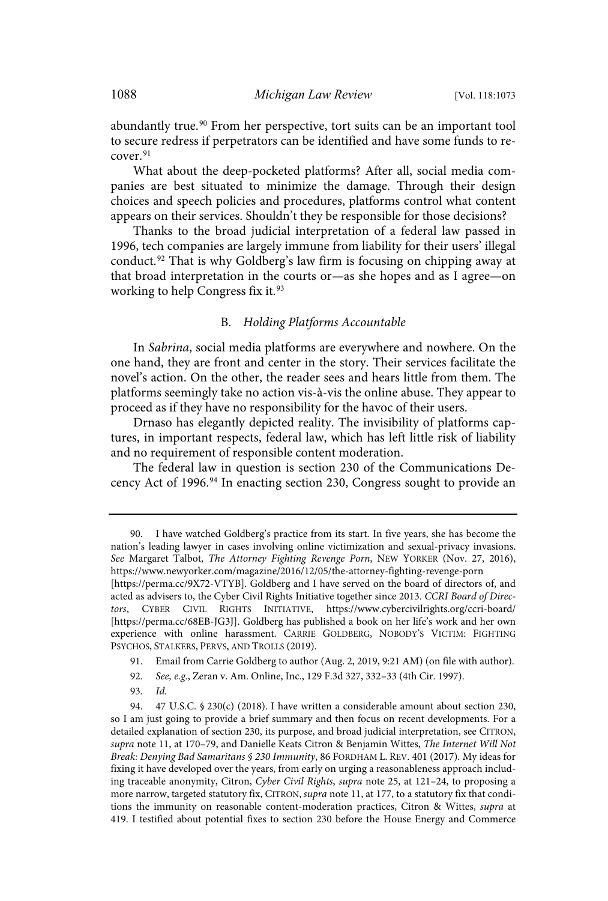abundantly true. <sup>90</sup> From her perspective, tort suits can be an important tool to secure redress if perpetrators can be identified and have some funds to recover.<sup>91</sup>

What about the deep-pocketed platforms? After all, social media companies are best situated to minimize the damage. Through their design choices and speech policies and procedures, platforms control what content appears on their services. Shouldn't they be responsible for those decisions?

Thanks to the broad judicial interpretation of a federal law passed in 1996, tech companies are largely immune from liability for their users' illegal conduct. <sup>92</sup> That is why Goldberg's law firm is focusing on chipping away at that broad interpretation in the courts or—as she hopes and as I agree—on working to help Congress fix it.<sup>93</sup>

## B. Holding Platforms Accountable

In Sabrina, social media platforms are everywhere and nowhere. On the one hand, they are front and center in the story. Their services facilitate the novel's action. On the other, the reader sees and hears little from them. The platforms seemingly take no action vis-à-vis the online abuse. They appear to proceed as if they have no responsibility for the havoc of their users.

Drnaso has elegantly depicted reality. The invisibility of platforms captures, in important respects, federal law, which has left little risk of liability and no requirement of responsible content moderation.

The federal law in question is section 230 of the Communications Decency Act of 1996.<sup>94</sup> In enacting section 230, Congress sought to provide an

- 91. Email from Carrie Goldberg to author (Aug. 2, 2019, 9:21 AM) (on file with author).
- 92. See, e.g., Zeran v. Am. Online, Inc., 129 F.3d 327, 332–33 (4th Cir. 1997).
- 93. Id.

<sup>90.</sup> I have watched Goldberg's practice from its start. In five years, she has become the nation's leading lawyer in cases involving online victimization and sexual-privacy invasions. See Margaret Talbot, The Attorney Fighting Revenge Porn, NEW YORKER (Nov. 27, 2016), https://www.newyorker.com/magazine/2016/12/05/the-attorney-fighting-revenge-porn [https://perma.cc/9X72-VTYB]. Goldberg and I have served on the board of directors of, and acted as advisers to, the Cyber Civil Rights Initiative together since 2013. CCRI Board of Directors, CYBER CIVIL RIGHTS INITIATIVE, https://www.cybercivilrights.org/ccri-board/ [https://perma.cc/68EB-JG3J]. Goldberg has published a book on her life's work and her own experience with online harassment. CARRIE GOLDBERG, NOBODY'S VICTIM: FIGHTING PSYCHOS, STALKERS, PERVS, AND TROLLS (2019).

<sup>94. 47</sup> U.S.C.  $\frac{6}{230(c)}$  (2018). I have written a considerable amount about section 230, so I am just going to provide a brief summary and then focus on recent developments. For a detailed explanation of section 230, its purpose, and broad judicial interpretation, see CITRON, supra note 11, at 170–79, and Danielle Keats Citron & Benjamin Wittes, The Internet Will Not Break: Denying Bad Samaritans § 230 Immunity, 86 FORDHAM L. REV. 401 (2017). My ideas for fixing it have developed over the years, from early on urging a reasonableness approach including traceable anonymity, Citron, Cyber Civil Rights, supra note 25, at 121–24, to proposing a more narrow, targeted statutory fix, CITRON, supra note 11, at 177, to a statutory fix that conditions the immunity on reasonable content-moderation practices, Citron & Wittes, supra at 419. I testified about potential fixes to section 230 before the House Energy and Commerce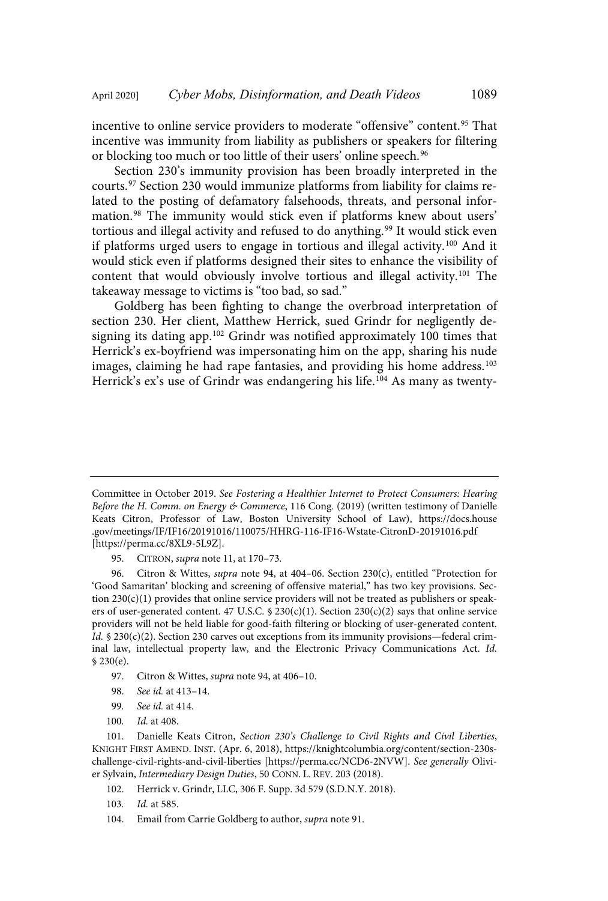incentive to online service providers to moderate "offensive" content. <sup>95</sup> That incentive was immunity from liability as publishers or speakers for filtering or blocking too much or too little of their users' online speech. 96

Section 230's immunity provision has been broadly interpreted in the courts. <sup>97</sup> Section 230 would immunize platforms from liability for claims related to the posting of defamatory falsehoods, threats, and personal information. <sup>98</sup> The immunity would stick even if platforms knew about users' tortious and illegal activity and refused to do anything.<sup>99</sup> It would stick even if platforms urged users to engage in tortious and illegal activity. <sup>100</sup> And it would stick even if platforms designed their sites to enhance the visibility of content that would obviously involve tortious and illegal activity.<sup>101</sup> The takeaway message to victims is "too bad, so sad."

Goldberg has been fighting to change the overbroad interpretation of section 230. Her client, Matthew Herrick, sued Grindr for negligently designing its dating app.<sup>102</sup> Grindr was notified approximately 100 times that Herrick's ex-boyfriend was impersonating him on the app, sharing his nude images, claiming he had rape fantasies, and providing his home address.<sup>103</sup> Herrick's ex's use of Grindr was endangering his life.<sup>104</sup> As many as twenty-

95. CITRON, *supra* note 11, at 170-73.

96. Citron & Wittes, *supra* note 94, at 404–06. Section 230(c), entitled "Protection for 'Good Samaritan' blocking and screening of offensive material," has two key provisions. Section 230(c)(1) provides that online service providers will not be treated as publishers or speakers of user-generated content. 47 U.S.C. § 230(c)(1). Section 230(c)(2) says that online service providers will not be held liable for good-faith filtering or blocking of user-generated content. Id.  $\delta$  230(c)(2). Section 230 carves out exceptions from its immunity provisions—federal criminal law, intellectual property law, and the Electronic Privacy Communications Act. Id. § 230(e).

- 97. Citron & Wittes, *supra* note 94, at 406-10.
- 98. See id. at 413–14.
- 99. See id. at 414.
- 100. Id. at 408.

101. Danielle Keats Citron, Section 230's Challenge to Civil Rights and Civil Liberties, KNIGHT FIRST AMEND. INST. (Apr. 6, 2018), https://knightcolumbia.org/content/section-230schallenge-civil-rights-and-civil-liberties [https://perma.cc/NCD6-2NVW]. See generally Olivier Sylvain, Intermediary Design Duties, 50 CONN. L. REV. 203 (2018).

- 102. Herrick v. Grindr, LLC, 306 F. Supp. 3d 579 (S.D.N.Y. 2018).
- 103. Id. at 585.
- 104. Email from Carrie Goldberg to author, supra note 91.

Committee in October 2019. See Fostering a Healthier Internet to Protect Consumers: Hearing Before the H. Comm. on Energy & Commerce, 116 Cong. (2019) (written testimony of Danielle Keats Citron, Professor of Law, Boston University School of Law), https://docs.house .gov/meetings/IF/IF16/20191016/110075/HHRG-116-IF16-Wstate-CitronD-20191016.pdf [https://perma.cc/8XL9-5L9Z].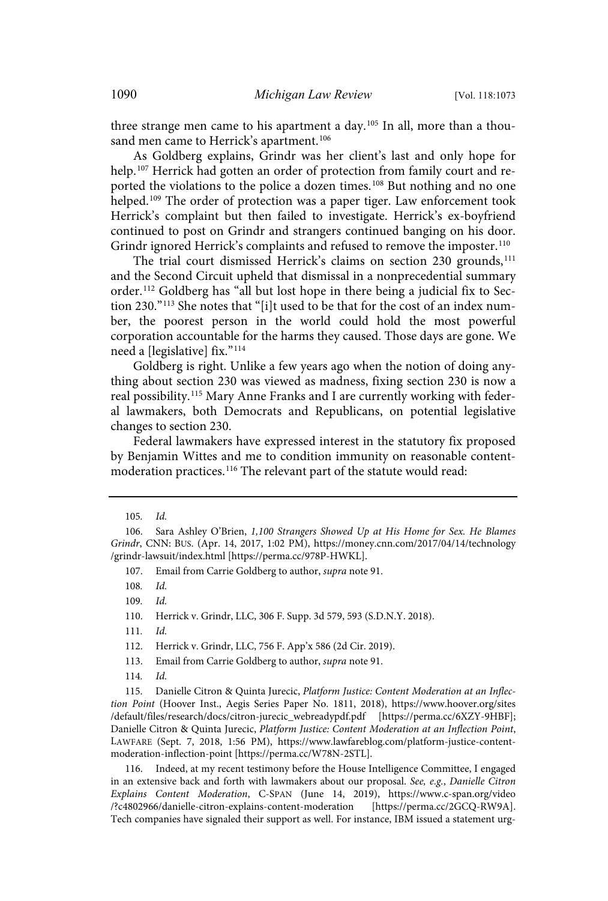three strange men came to his apartment a day.<sup>105</sup> In all, more than a thousand men came to Herrick's apartment.<sup>106</sup>

As Goldberg explains, Grindr was her client's last and only hope for help. <sup>107</sup> Herrick had gotten an order of protection from family court and reported the violations to the police a dozen times.<sup>108</sup> But nothing and no one helped.<sup>109</sup> The order of protection was a paper tiger. Law enforcement took Herrick's complaint but then failed to investigate. Herrick's ex-boyfriend continued to post on Grindr and strangers continued banging on his door. Grindr ignored Herrick's complaints and refused to remove the imposter.<sup>110</sup>

The trial court dismissed Herrick's claims on section 230 grounds,<sup>111</sup> and the Second Circuit upheld that dismissal in a nonprecedential summary order.<sup>112</sup> Goldberg has "all but lost hope in there being a judicial fix to Section 230."<sup>113</sup> She notes that "[i]t used to be that for the cost of an index number, the poorest person in the world could hold the most powerful corporation accountable for the harms they caused. Those days are gone. We need a [legislative] fix."<sup>114</sup>

Goldberg is right. Unlike a few years ago when the notion of doing anything about section 230 was viewed as madness, fixing section 230 is now a real possibility.<sup>115</sup> Mary Anne Franks and I are currently working with federal lawmakers, both Democrats and Republicans, on potential legislative changes to section 230.

Federal lawmakers have expressed interest in the statutory fix proposed by Benjamin Wittes and me to condition immunity on reasonable contentmoderation practices.<sup>116</sup> The relevant part of the statute would read:

107. Email from Carrie Goldberg to author, supra note 91.

108. Id.

116. Indeed, at my recent testimony before the House Intelligence Committee, I engaged in an extensive back and forth with lawmakers about our proposal. See, e.g., Danielle Citron Explains Content Moderation, C-SPAN (June 14, 2019), https://www.c-span.org/video /?c4802966/danielle-citron-explains-content-moderation [https://perma.cc/2GCQ-RW9A]. Tech companies have signaled their support as well. For instance, IBM issued a statement urg-

<sup>105</sup>. Id.

<sup>106.</sup> Sara Ashley O'Brien, 1,100 Strangers Showed Up at His Home for Sex. He Blames Grindr, CNN: BUS. (Apr. 14, 2017, 1:02 PM), https://money.cnn.com/2017/04/14/technology /grindr-lawsuit/index.html [https://perma.cc/978P-HWKL].

<sup>109</sup>. Id.

<sup>110.</sup> Herrick v. Grindr, LLC, 306 F. Supp. 3d 579, 593 (S.D.N.Y. 2018).

<sup>111</sup>. Id.

<sup>112.</sup> Herrick v. Grindr, LLC, 756 F. App'x 586 (2d Cir. 2019).

<sup>113.</sup> Email from Carrie Goldberg to author, supra note 91.

<sup>114</sup>. Id.

<sup>115.</sup> Danielle Citron & Quinta Jurecic, Platform Justice: Content Moderation at an Inflection Point (Hoover Inst., Aegis Series Paper No. 1811, 2018), https://www.hoover.org/sites /default/files/research/docs/citron-jurecic\_webreadypdf.pdf [https://perma.cc/6XZY-9HBF]; Danielle Citron & Quinta Jurecic, Platform Justice: Content Moderation at an Inflection Point, LAWFARE (Sept. 7, 2018, 1:56 PM), https://www.lawfareblog.com/platform-justice-contentmoderation-inflection-point [https://perma.cc/W78N-2STL].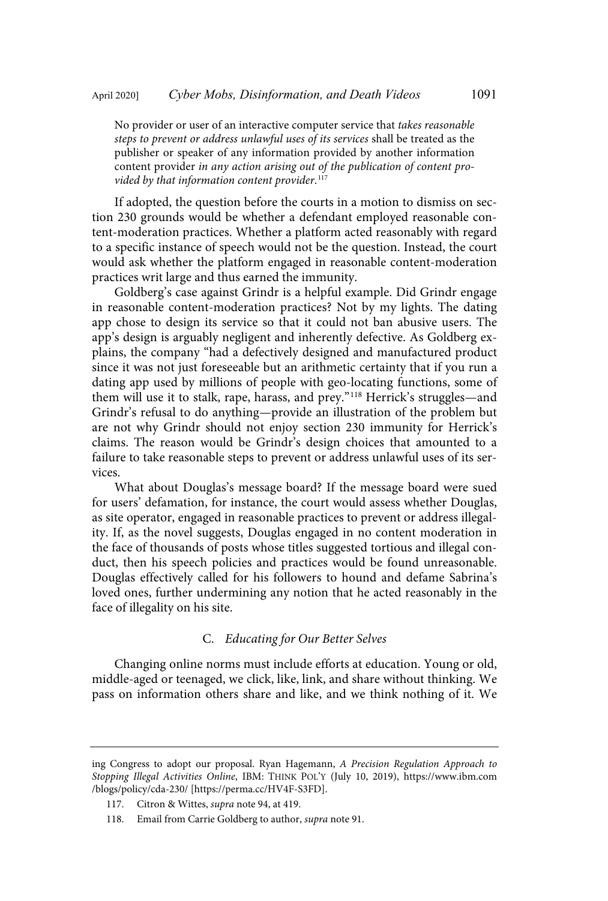No provider or user of an interactive computer service that takes reasonable steps to prevent or address unlawful uses of its services shall be treated as the publisher or speaker of any information provided by another information content provider in any action arising out of the publication of content provided by that information content provider. 117

If adopted, the question before the courts in a motion to dismiss on section 230 grounds would be whether a defendant employed reasonable content-moderation practices. Whether a platform acted reasonably with regard to a specific instance of speech would not be the question. Instead, the court would ask whether the platform engaged in reasonable content-moderation practices writ large and thus earned the immunity.

Goldberg's case against Grindr is a helpful example. Did Grindr engage in reasonable content-moderation practices? Not by my lights. The dating app chose to design its service so that it could not ban abusive users. The app's design is arguably negligent and inherently defective. As Goldberg explains, the company "had a defectively designed and manufactured product since it was not just foreseeable but an arithmetic certainty that if you run a dating app used by millions of people with geo-locating functions, some of them will use it to stalk, rape, harass, and prey." <sup>118</sup> Herrick's struggles—and Grindr's refusal to do anything—provide an illustration of the problem but are not why Grindr should not enjoy section 230 immunity for Herrick's claims. The reason would be Grindr's design choices that amounted to a failure to take reasonable steps to prevent or address unlawful uses of its services.

What about Douglas's message board? If the message board were sued for users' defamation, for instance, the court would assess whether Douglas, as site operator, engaged in reasonable practices to prevent or address illegality. If, as the novel suggests, Douglas engaged in no content moderation in the face of thousands of posts whose titles suggested tortious and illegal conduct, then his speech policies and practices would be found unreasonable. Douglas effectively called for his followers to hound and defame Sabrina's loved ones, further undermining any notion that he acted reasonably in the face of illegality on his site.

#### C. Educating for Our Better Selves

Changing online norms must include efforts at education. Young or old, middle-aged or teenaged, we click, like, link, and share without thinking. We pass on information others share and like, and we think nothing of it. We

ing Congress to adopt our proposal. Ryan Hagemann, A Precision Regulation Approach to Stopping Illegal Activities Online, IBM: THINK POL'Y (July 10, 2019), https://www.ibm.com /blogs/policy/cda-230/ [https://perma.cc/HV4F-S3FD].

<sup>117.</sup> Citron & Wittes, supra note 94, at 419.

<sup>118.</sup> Email from Carrie Goldberg to author, supra note 91.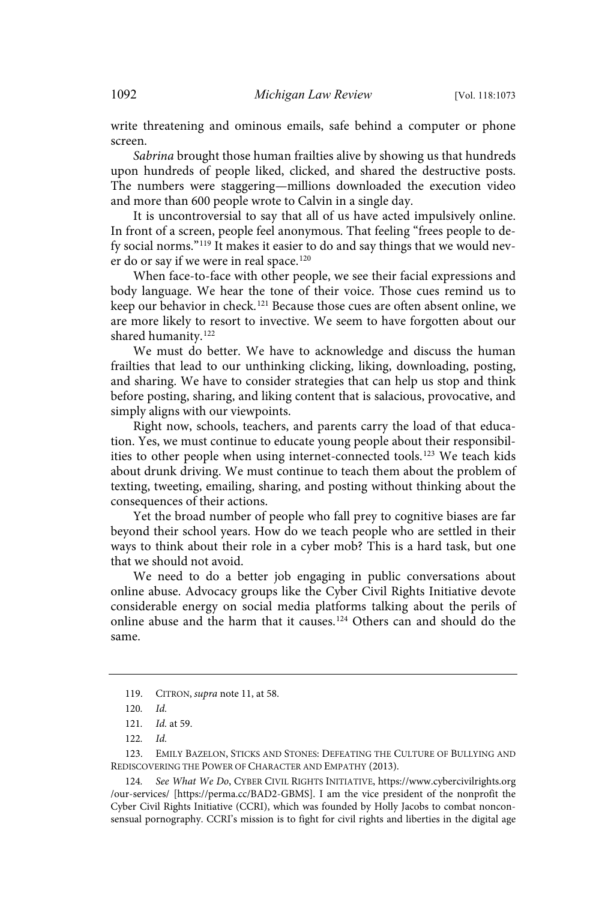write threatening and ominous emails, safe behind a computer or phone screen.

Sabrina brought those human frailties alive by showing us that hundreds upon hundreds of people liked, clicked, and shared the destructive posts. The numbers were staggering—millions downloaded the execution video and more than 600 people wrote to Calvin in a single day.

It is uncontroversial to say that all of us have acted impulsively online. In front of a screen, people feel anonymous. That feeling "frees people to defy social norms."<sup>119</sup> It makes it easier to do and say things that we would never do or say if we were in real space.<sup>120</sup>

When face-to-face with other people, we see their facial expressions and body language. We hear the tone of their voice. Those cues remind us to keep our behavior in check.<sup>121</sup> Because those cues are often absent online, we are more likely to resort to invective. We seem to have forgotten about our shared humanity.<sup>122</sup>

We must do better. We have to acknowledge and discuss the human frailties that lead to our unthinking clicking, liking, downloading, posting, and sharing. We have to consider strategies that can help us stop and think before posting, sharing, and liking content that is salacious, provocative, and simply aligns with our viewpoints.

Right now, schools, teachers, and parents carry the load of that education. Yes, we must continue to educate young people about their responsibilities to other people when using internet-connected tools.<sup>123</sup> We teach kids about drunk driving. We must continue to teach them about the problem of texting, tweeting, emailing, sharing, and posting without thinking about the consequences of their actions.

Yet the broad number of people who fall prey to cognitive biases are far beyond their school years. How do we teach people who are settled in their ways to think about their role in a cyber mob? This is a hard task, but one that we should not avoid.

We need to do a better job engaging in public conversations about online abuse. Advocacy groups like the Cyber Civil Rights Initiative devote considerable energy on social media platforms talking about the perils of online abuse and the harm that it causes. <sup>124</sup> Others can and should do the same.

<sup>119.</sup> CITRON, supra note 11, at 58.

<sup>120</sup>. Id.

<sup>121</sup>. Id. at 59.

<sup>122</sup>. Id.

<sup>123.</sup> EMILY BAZELON, STICKS AND STONES: DEFEATING THE CULTURE OF BULLYING AND REDISCOVERING THE POWER OF CHARACTER AND EMPATHY (2013).

<sup>124</sup>. See What We Do, CYBER CIVIL RIGHTS INITIATIVE, https://www.cybercivilrights.org /our-services/ [https://perma.cc/BAD2-GBMS]. I am the vice president of the nonprofit the Cyber Civil Rights Initiative (CCRI), which was founded by Holly Jacobs to combat nonconsensual pornography. CCRI's mission is to fight for civil rights and liberties in the digital age